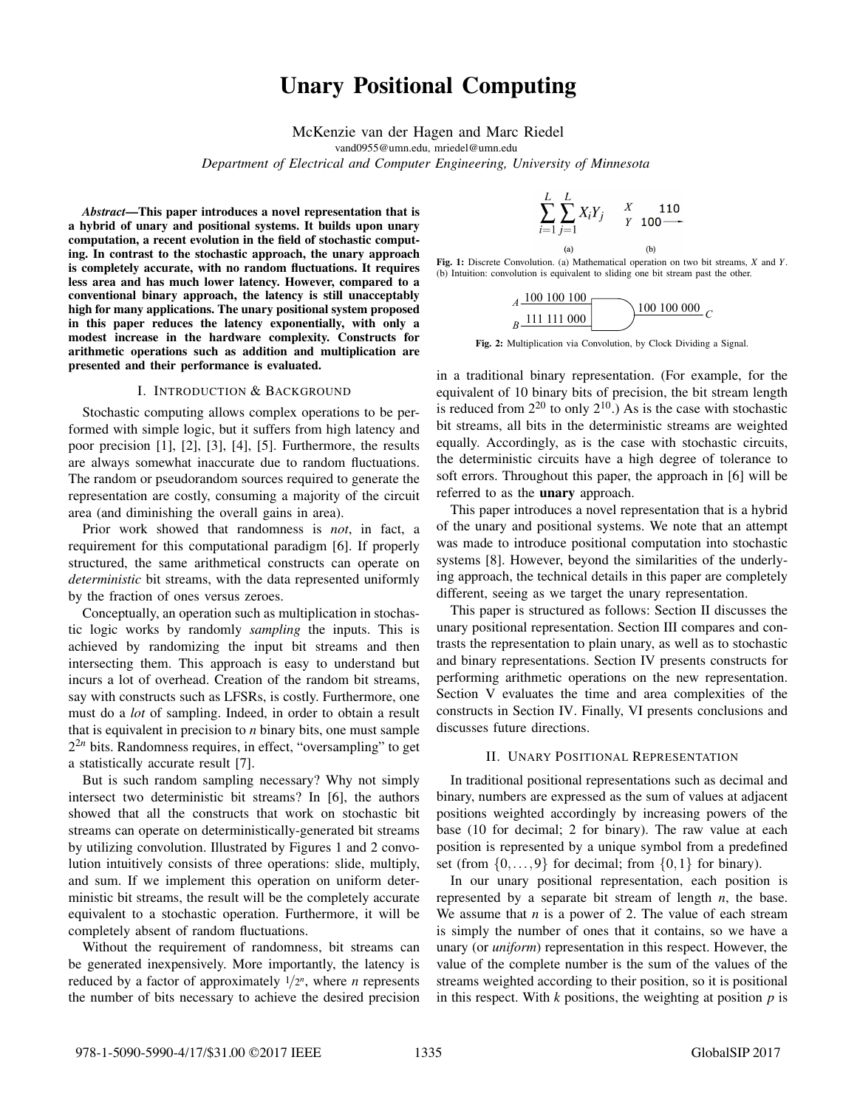# Unary Positional Computing

McKenzie van der Hagen and Marc Riedel

vand0955@umn.edu, mriedel@umn.edu

*Department of Electrical and Computer Engineering, University of Minnesota*

*Abstract*—This paper introduces a novel representation that is a hybrid of unary and positional systems. It builds upon unary computation, a recent evolution in the field of stochastic computing. In contrast to the stochastic approach, the unary approach is completely accurate, with no random fluctuations. It requires less area and has much lower latency. However, compared to a conventional binary approach, the latency is still unacceptably high for many applications. The unary positional system proposed in this paper reduces the latency exponentially, with only a modest increase in the hardware complexity. Constructs for arithmetic operations such as addition and multiplication are presented and their performance is evaluated.

## I. INTRODUCTION & BACKGROUND

Stochastic computing allows complex operations to be performed with simple logic, but it suffers from high latency and poor precision [1], [2], [3], [4], [5]. Furthermore, the results are always somewhat inaccurate due to random fluctuations. The random or pseudorandom sources required to generate the representation are costly, consuming a majority of the circuit area (and diminishing the overall gains in area).

Prior work showed that randomness is *not*, in fact, a requirement for this computational paradigm [6]. If properly structured, the same arithmetical constructs can operate on *deterministic* bit streams, with the data represented uniformly by the fraction of ones versus zeroes.

Conceptually, an operation such as multiplication in stochastic logic works by randomly *sampling* the inputs. This is achieved by randomizing the input bit streams and then intersecting them. This approach is easy to understand but incurs a lot of overhead. Creation of the random bit streams, say with constructs such as LFSRs, is costly. Furthermore, one must do a *lot* of sampling. Indeed, in order to obtain a result that is equivalent in precision to *n* binary bits, one must sample  $2^{2n}$  bits. Randomness requires, in effect, "oversampling" to get a statistically accurate result [7].

But is such random sampling necessary? Why not simply intersect two deterministic bit streams? In [6], the authors showed that all the constructs that work on stochastic bit streams can operate on deterministically-generated bit streams by utilizing convolution. Illustrated by Figures 1 and 2 convolution intuitively consists of three operations: slide, multiply, and sum. If we implement this operation on uniform deterministic bit streams, the result will be the completely accurate equivalent to a stochastic operation. Furthermore, it will be completely absent of random fluctuations.

Without the requirement of randomness, bit streams can be generated inexpensively. More importantly, the latency is reduced by a factor of approximately  $1/2^n$ , where *n* represents the number of bits necessary to achieve the desired precision

$$
\sum_{i=1}^{L} \sum_{j=1}^{L} X_i Y_j \qquad \begin{array}{c} X \\ Y \end{array} \quad \begin{array}{c} 110 \\ 100 \end{array}
$$

 $(a)$  $(b)$ Fig. 1: Discrete Convolution. (a) Mathematical operation on two bit streams, *X* and *Y*. (b) Intuition: convolution is equivalent to sliding one bit stream past the other.



Fig. 2: Multiplication via Convolution, by Clock Dividing a Signal.

in a traditional binary representation. (For example, for the equivalent of 10 binary bits of precision, the bit stream length is reduced from  $2^{20}$  to only  $2^{10}$ .) As is the case with stochastic bit streams, all bits in the deterministic streams are weighted equally. Accordingly, as is the case with stochastic circuits, the deterministic circuits have a high degree of tolerance to soft errors. Throughout this paper, the approach in [6] will be referred to as the unary approach.

This paper introduces a novel representation that is a hybrid of the unary and positional systems. We note that an attempt was made to introduce positional computation into stochastic systems [8]. However, beyond the similarities of the underlying approach, the technical details in this paper are completely different, seeing as we target the unary representation.

This paper is structured as follows: Section II discusses the unary positional representation. Section III compares and contrasts the representation to plain unary, as well as to stochastic and binary representations. Section IV presents constructs for performing arithmetic operations on the new representation. Section V evaluates the time and area complexities of the constructs in Section IV. Finally, VI presents conclusions and discusses future directions.

## II. UNARY POSITIONAL REPRESENTATION

In traditional positional representations such as decimal and binary, numbers are expressed as the sum of values at adjacent positions weighted accordingly by increasing powers of the base (10 for decimal; 2 for binary). The raw value at each position is represented by a unique symbol from a predefined set (from  $\{0,\ldots,9\}$  for decimal; from  $\{0,1\}$  for binary).

In our unary positional representation, each position is represented by a separate bit stream of length *n*, the base. We assume that *n* is a power of 2. The value of each stream is simply the number of ones that it contains, so we have a unary (or *uniform*) representation in this respect. However, the value of the complete number is the sum of the values of the streams weighted according to their position, so it is positional in this respect. With *k* positions, the weighting at position *p* is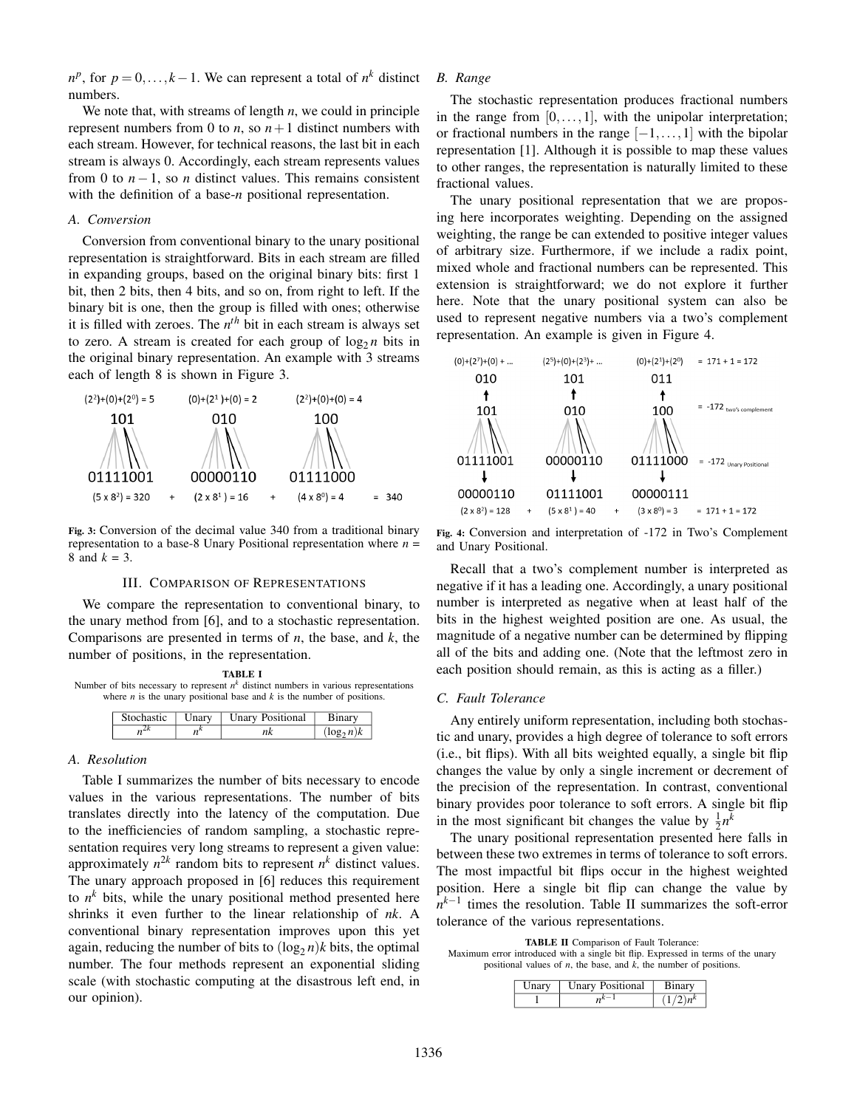$n^p$ , for  $p = 0, \ldots, k - 1$ . We can represent a total of  $n^k$  distinct numbers.

We note that, with streams of length *n*, we could in principle represent numbers from 0 to *n*, so  $n+1$  distinct numbers with each stream. However, for technical reasons, the last bit in each stream is always 0. Accordingly, each stream represents values from 0 to  $n-1$ , so *n* distinct values. This remains consistent with the definition of a base-*n* positional representation.

#### *A. Conversion*

Conversion from conventional binary to the unary positional representation is straightforward. Bits in each stream are filled in expanding groups, based on the original binary bits: first 1 bit, then 2 bits, then 4 bits, and so on, from right to left. If the binary bit is one, then the group is filled with ones; otherwise it is filled with zeroes. The  $n<sup>th</sup>$  bit in each stream is always set to zero. A stream is created for each group of  $\log_2 n$  bits in the original binary representation. An example with 3 streams each of length 8 is shown in Figure 3.



Fig. 3: Conversion of the decimal value 340 from a traditional binary representation to a base-8 Unary Positional representation where *n* = 8 and *k* = 3.

### III. COMPARISON OF REPRESENTATIONS

We compare the representation to conventional binary, to the unary method from [6], and to a stochastic representation. Comparisons are presented in terms of *n*, the base, and *k*, the number of positions, in the representation.

TABLE I Number of bits necessary to represent  $n^k$  distinct numbers in various representations where *n* is the unary positional base and *k* is the number of positions.

| aastic '<br>Stock | Unary   Unary Positional |  |
|-------------------|--------------------------|--|
|                   |                          |  |

## *A. Resolution*

Table I summarizes the number of bits necessary to encode values in the various representations. The number of bits translates directly into the latency of the computation. Due to the inefficiencies of random sampling, a stochastic representation requires very long streams to represent a given value: approximately  $n^{2k}$  random bits to represent  $n^k$  distinct values. The unary approach proposed in [6] reduces this requirement to  $n^k$  bits, while the unary positional method presented here shrinks it even further to the linear relationship of *nk*. A conventional binary representation improves upon this yet again, reducing the number of bits to  $(\log_2 n)$ *k* bits, the optimal number. The four methods represent an exponential sliding scale (with stochastic computing at the disastrous left end, in our opinion).

## *B. Range*

The stochastic representation produces fractional numbers in the range from  $[0, \ldots, 1]$ , with the unipolar interpretation; or fractional numbers in the range  $[-1,...,1]$  with the bipolar representation [1]. Although it is possible to map these values to other ranges, the representation is naturally limited to these fractional values.

The unary positional representation that we are proposing here incorporates weighting. Depending on the assigned weighting, the range be can extended to positive integer values of arbitrary size. Furthermore, if we include a radix point, mixed whole and fractional numbers can be represented. This extension is straightforward; we do not explore it further here. Note that the unary positional system can also be used to represent negative numbers via a two's complement representation. An example is given in Figure 4.



Fig. 4: Conversion and interpretation of -172 in Two's Complement and Unary Positional.

Recall that a two's complement number is interpreted as negative if it has a leading one. Accordingly, a unary positional number is interpreted as negative when at least half of the bits in the highest weighted position are one. As usual, the magnitude of a negative number can be determined by flipping all of the bits and adding one. (Note that the leftmost zero in each position should remain, as this is acting as a filler.)

## *C. Fault Tolerance*

Any entirely uniform representation, including both stochastic and unary, provides a high degree of tolerance to soft errors (i.e., bit flips). With all bits weighted equally, a single bit flip changes the value by only a single increment or decrement of the precision of the representation. In contrast, conventional binary provides poor tolerance to soft errors. A single bit flip in the most significant bit changes the value by  $\frac{1}{2}n^k$ 

The unary positional representation presented here falls in between these two extremes in terms of tolerance to soft errors. The most impactful bit flips occur in the highest weighted position. Here a single bit flip can change the value by *n*<sup>k−1</sup> times the resolution. Table II summarizes the soft-error tolerance of the various representations.

TABLE II Comparison of Fault Tolerance: Maximum error introduced with a single bit flip. Expressed in terms of the unary positional values of *n*, the base, and *k*, the number of positions.

|  | Unary Positional |  |
|--|------------------|--|
|  |                  |  |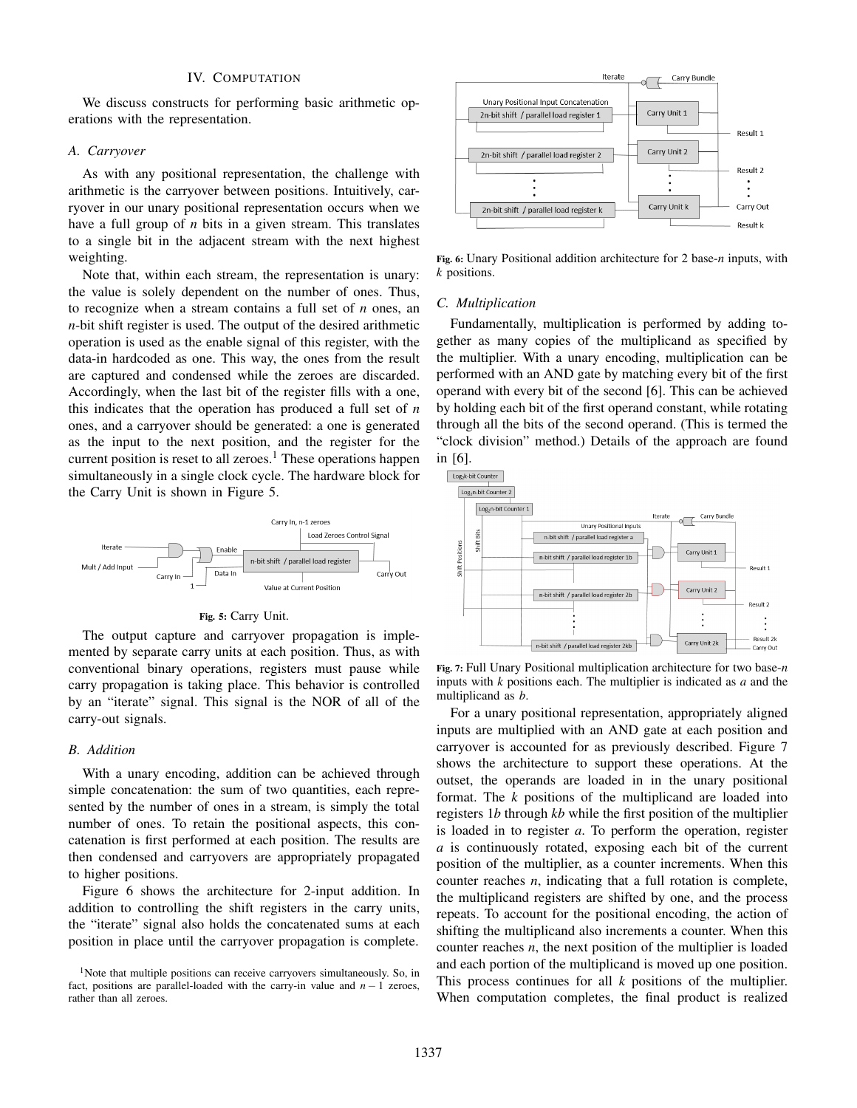## IV. COMPUTATION

We discuss constructs for performing basic arithmetic operations with the representation.

#### *A. Carryover*

As with any positional representation, the challenge with arithmetic is the carryover between positions. Intuitively, carryover in our unary positional representation occurs when we have a full group of *n* bits in a given stream. This translates to a single bit in the adjacent stream with the next highest weighting.

Note that, within each stream, the representation is unary: the value is solely dependent on the number of ones. Thus, to recognize when a stream contains a full set of *n* ones, an *n*-bit shift register is used. The output of the desired arithmetic operation is used as the enable signal of this register, with the data-in hardcoded as one. This way, the ones from the result are captured and condensed while the zeroes are discarded. Accordingly, when the last bit of the register fills with a one, this indicates that the operation has produced a full set of *n* ones, and a carryover should be generated: a one is generated as the input to the next position, and the register for the current position is reset to all zeroes.<sup>1</sup> These operations happen simultaneously in a single clock cycle. The hardware block for the Carry Unit is shown in Figure 5.



### Fig. 5: Carry Unit.

The output capture and carryover propagation is implemented by separate carry units at each position. Thus, as with conventional binary operations, registers must pause while carry propagation is taking place. This behavior is controlled by an "iterate" signal. This signal is the NOR of all of the carry-out signals.

## *B. Addition*

With a unary encoding, addition can be achieved through simple concatenation: the sum of two quantities, each represented by the number of ones in a stream, is simply the total number of ones. To retain the positional aspects, this concatenation is first performed at each position. The results are then condensed and carryovers are appropriately propagated to higher positions.

Figure 6 shows the architecture for 2-input addition. In addition to controlling the shift registers in the carry units, the "iterate" signal also holds the concatenated sums at each position in place until the carryover propagation is complete.



Fig. 6: Unary Positional addition architecture for 2 base-*n* inputs, with *k* positions.

#### *C. Multiplication*

Fundamentally, multiplication is performed by adding together as many copies of the multiplicand as specified by the multiplier. With a unary encoding, multiplication can be performed with an AND gate by matching every bit of the first operand with every bit of the second [6]. This can be achieved by holding each bit of the first operand constant, while rotating through all the bits of the second operand. (This is termed the "clock division" method.) Details of the approach are found in [6].





Fig. 7: Full Unary Positional multiplication architecture for two base-*n* inputs with *k* positions each. The multiplier is indicated as *a* and the multiplicand as *b*.

For a unary positional representation, appropriately aligned inputs are multiplied with an AND gate at each position and carryover is accounted for as previously described. Figure 7 shows the architecture to support these operations. At the outset, the operands are loaded in in the unary positional format. The *k* positions of the multiplicand are loaded into registers 1*b* through *kb* while the first position of the multiplier is loaded in to register *a*. To perform the operation, register *a* is continuously rotated, exposing each bit of the current position of the multiplier, as a counter increments. When this counter reaches *n*, indicating that a full rotation is complete, the multiplicand registers are shifted by one, and the process repeats. To account for the positional encoding, the action of shifting the multiplicand also increments a counter. When this counter reaches *n*, the next position of the multiplier is loaded and each portion of the multiplicand is moved up one position. This process continues for all *k* positions of the multiplier. When computation completes, the final product is realized

<sup>&</sup>lt;sup>1</sup>Note that multiple positions can receive carryovers simultaneously. So, in fact, positions are parallel-loaded with the carry-in value and  $n - 1$  zeroes, rather than all zeroes.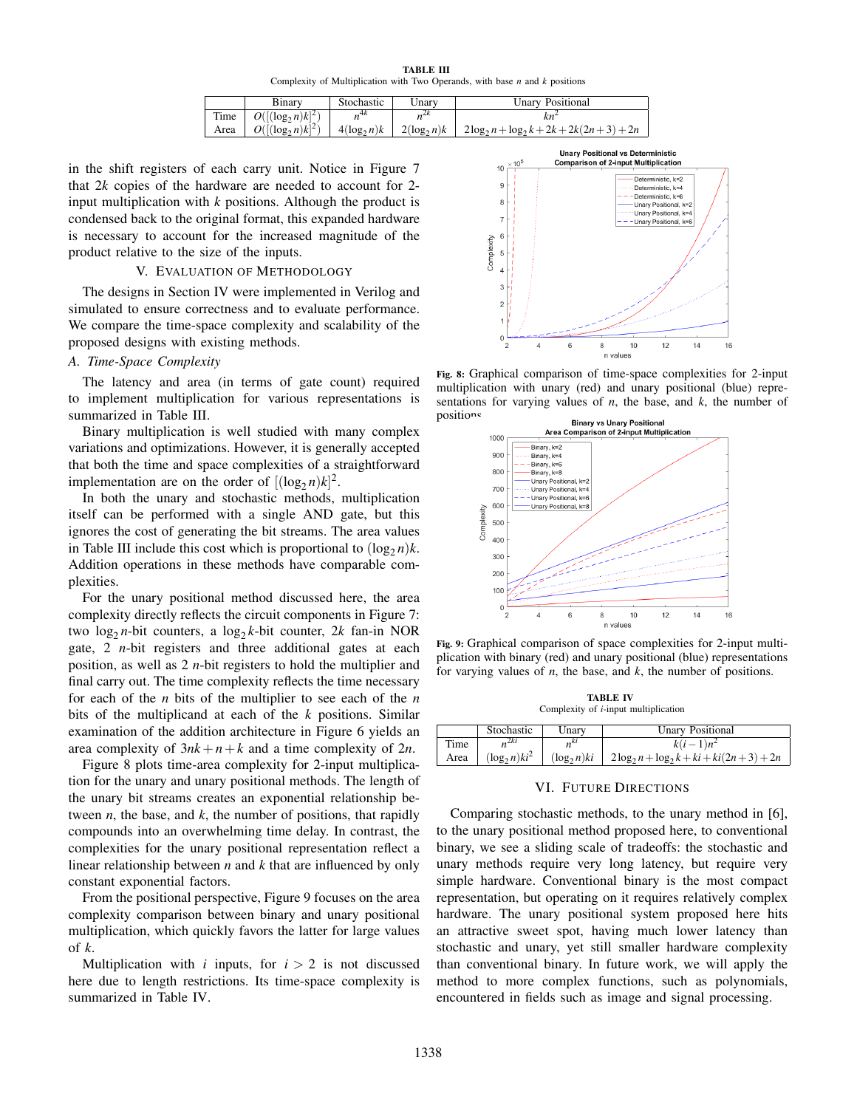TABLE III Complexity of Multiplication with Two Operands, with base *n* and *k* positions

|      | Binarv                 | Stochastic     | Jnarv          | Unary Positional                              |
|------|------------------------|----------------|----------------|-----------------------------------------------|
| Time | $O([(\log_2 n)k]^2)$   |                | $n \angle k$   |                                               |
| Area | $O([(\log_2 n)k]^{2})$ | $4(\log_2 n)k$ | $2(\log_2 n)k$ | $2\log_2 n + \log_2 k + 2k + 2k(2n + 3) + 2n$ |

in the shift registers of each carry unit. Notice in Figure 7 that 2*k* copies of the hardware are needed to account for 2 input multiplication with *k* positions. Although the product is condensed back to the original format, this expanded hardware is necessary to account for the increased magnitude of the product relative to the size of the inputs.

## V. EVALUATION OF METHODOLOGY

The designs in Section IV were implemented in Verilog and simulated to ensure correctness and to evaluate performance. We compare the time-space complexity and scalability of the proposed designs with existing methods.

## *A. Time-Space Complexity*

The latency and area (in terms of gate count) required to implement multiplication for various representations is summarized in Table III.

Binary multiplication is well studied with many complex variations and optimizations. However, it is generally accepted that both the time and space complexities of a straightforward implementation are on the order of  $[(\log_2 n)k]^2$ .

In both the unary and stochastic methods, multiplication itself can be performed with a single AND gate, but this ignores the cost of generating the bit streams. The area values in Table III include this cost which is proportional to  $(\log_2 n)k$ . Addition operations in these methods have comparable complexities.

For the unary positional method discussed here, the area complexity directly reflects the circuit components in Figure 7: two log<sub>2</sub>*n*-bit counters, a log<sub>2</sub>*k*-bit counter, 2*k* fan-in NOR gate, 2 *n*-bit registers and three additional gates at each position, as well as 2 *n*-bit registers to hold the multiplier and final carry out. The time complexity reflects the time necessary for each of the *n* bits of the multiplier to see each of the *n* bits of the multiplicand at each of the *k* positions. Similar examination of the addition architecture in Figure 6 yields an area complexity of  $3nk + n + k$  and a time complexity of  $2n$ .

Figure 8 plots time-area complexity for 2-input multiplication for the unary and unary positional methods. The length of the unary bit streams creates an exponential relationship between *n*, the base, and *k*, the number of positions, that rapidly compounds into an overwhelming time delay. In contrast, the complexities for the unary positional representation reflect a linear relationship between *n* and *k* that are influenced by only constant exponential factors.

From the positional perspective, Figure 9 focuses on the area complexity comparison between binary and unary positional multiplication, which quickly favors the latter for large values of *k*.

Multiplication with *i* inputs, for  $i > 2$  is not discussed here due to length restrictions. Its time-space complexity is summarized in Table IV.



Fig. 8: Graphical comparison of time-space complexities for 2-input multiplication with unary (red) and unary positional (blue) representations for varying values of *n*, the base, and *k*, the number of positions.



Fig. 9: Graphical comparison of space complexities for 2-input multiplication with binary (red) and unary positional (blue) representations for varying values of *n*, the base, and *k*, the number of positions.

TABLE IV Complexity of *i*-input multiplication

|      | Stochastic       | Unary          | Unary Positional                            |
|------|------------------|----------------|---------------------------------------------|
| Time | n2ki             |                | $k(i-1)n^2$                                 |
| Area | $(\log_2 n)ki^2$ | $(\log_2 n)ki$ | $2\log_2 n + \log_2 k + ki + ki(2n+3) + 2n$ |

#### VI. FUTURE DIRECTIONS

Comparing stochastic methods, to the unary method in [6], to the unary positional method proposed here, to conventional binary, we see a sliding scale of tradeoffs: the stochastic and unary methods require very long latency, but require very simple hardware. Conventional binary is the most compact representation, but operating on it requires relatively complex hardware. The unary positional system proposed here hits an attractive sweet spot, having much lower latency than stochastic and unary, yet still smaller hardware complexity than conventional binary. In future work, we will apply the method to more complex functions, such as polynomials, encountered in fields such as image and signal processing.